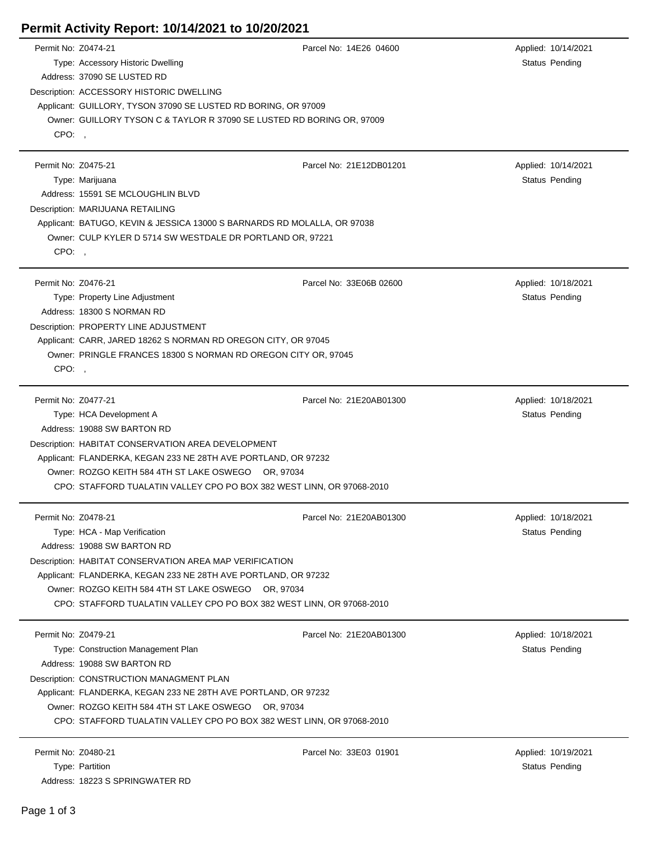## **Permit Activity Report: 10/14/2021 to 10/20/2021**

| Permit No: Z0474-21 |                                                                                                                                  | Parcel No: 14E26 04600                                         | Applied: 10/14/2021   |  |  |
|---------------------|----------------------------------------------------------------------------------------------------------------------------------|----------------------------------------------------------------|-----------------------|--|--|
|                     | Type: Accessory Historic Dwelling                                                                                                |                                                                | Status Pending        |  |  |
|                     | Address: 37090 SE LUSTED RD                                                                                                      |                                                                |                       |  |  |
|                     | Description: ACCESSORY HISTORIC DWELLING                                                                                         |                                                                |                       |  |  |
|                     | Applicant: GUILLORY, TYSON 37090 SE LUSTED RD BORING, OR 97009                                                                   |                                                                |                       |  |  |
|                     | Owner: GUILLORY TYSON C & TAYLOR R 37090 SE LUSTED RD BORING OR, 97009                                                           |                                                                |                       |  |  |
| CPO:                |                                                                                                                                  |                                                                |                       |  |  |
| Permit No: Z0475-21 |                                                                                                                                  | Parcel No: 21E12DB01201                                        | Applied: 10/14/2021   |  |  |
|                     | Type: Marijuana                                                                                                                  |                                                                | <b>Status Pending</b> |  |  |
|                     | Address: 15591 SE MCLOUGHLIN BLVD                                                                                                |                                                                |                       |  |  |
|                     | Description: MARIJUANA RETAILING                                                                                                 |                                                                |                       |  |  |
|                     | Applicant: BATUGO, KEVIN & JESSICA 13000 S BARNARDS RD MOLALLA, OR 97038                                                         |                                                                |                       |  |  |
|                     | Owner: CULP KYLER D 5714 SW WESTDALE DR PORTLAND OR, 97221                                                                       |                                                                |                       |  |  |
| CPO:,               |                                                                                                                                  |                                                                |                       |  |  |
|                     |                                                                                                                                  |                                                                |                       |  |  |
| Permit No: Z0476-21 |                                                                                                                                  | Parcel No: 33E06B 02600                                        | Applied: 10/18/2021   |  |  |
|                     | Type: Property Line Adjustment                                                                                                   |                                                                | <b>Status Pending</b> |  |  |
|                     | Address: 18300 S NORMAN RD                                                                                                       |                                                                |                       |  |  |
|                     | Description: PROPERTY LINE ADJUSTMENT                                                                                            |                                                                |                       |  |  |
|                     | Applicant: CARR, JARED 18262 S NORMAN RD OREGON CITY, OR 97045<br>Owner: PRINGLE FRANCES 18300 S NORMAN RD OREGON CITY OR, 97045 |                                                                |                       |  |  |
|                     |                                                                                                                                  |                                                                |                       |  |  |
| CPO:                |                                                                                                                                  |                                                                |                       |  |  |
| Permit No: Z0477-21 |                                                                                                                                  | Parcel No: 21E20AB01300                                        | Applied: 10/18/2021   |  |  |
|                     | Type: HCA Development A                                                                                                          |                                                                | <b>Status Pending</b> |  |  |
|                     | Address: 19088 SW BARTON RD                                                                                                      |                                                                |                       |  |  |
|                     | Description: HABITAT CONSERVATION AREA DEVELOPMENT                                                                               |                                                                |                       |  |  |
|                     | Applicant: FLANDERKA, KEGAN 233 NE 28TH AVE PORTLAND, OR 97232                                                                   |                                                                |                       |  |  |
|                     | Owner: ROZGO KEITH 584 4TH ST LAKE OSWEGO OR, 97034                                                                              |                                                                |                       |  |  |
|                     | CPO: STAFFORD TUALATIN VALLEY CPO PO BOX 382 WEST LINN, OR 97068-2010                                                            |                                                                |                       |  |  |
| Permit No: Z0478-21 |                                                                                                                                  | Parcel No: 21E20AB01300                                        | Applied: 10/18/2021   |  |  |
|                     | Type: HCA - Map Verification                                                                                                     |                                                                | Status Pending        |  |  |
|                     | Address: 19088 SW BARTON RD                                                                                                      |                                                                |                       |  |  |
|                     |                                                                                                                                  |                                                                |                       |  |  |
|                     | Description: HABITAT CONSERVATION AREA MAP VERIFICATION<br>Applicant: FLANDERKA, KEGAN 233 NE 28TH AVE PORTLAND, OR 97232        |                                                                |                       |  |  |
|                     | Owner: ROZGO KEITH 584 4TH ST LAKE OSWEGO OR, 97034                                                                              |                                                                |                       |  |  |
|                     | CPO: STAFFORD TUALATIN VALLEY CPO PO BOX 382 WEST LINN, OR 97068-2010                                                            |                                                                |                       |  |  |
|                     |                                                                                                                                  |                                                                |                       |  |  |
| Permit No: Z0479-21 |                                                                                                                                  | Parcel No: 21E20AB01300                                        | Applied: 10/18/2021   |  |  |
|                     | Type: Construction Management Plan                                                                                               |                                                                | Status Pending        |  |  |
|                     | Address: 19088 SW BARTON RD                                                                                                      |                                                                |                       |  |  |
|                     | Description: CONSTRUCTION MANAGMENT PLAN                                                                                         |                                                                |                       |  |  |
|                     |                                                                                                                                  | Applicant: FLANDERKA, KEGAN 233 NE 28TH AVE PORTLAND, OR 97232 |                       |  |  |
|                     | Owner: ROZGO KEITH 584 4TH ST LAKE OSWEGO OR, 97034<br>CPO: STAFFORD TUALATIN VALLEY CPO PO BOX 382 WEST LINN, OR 97068-2010     |                                                                |                       |  |  |
|                     |                                                                                                                                  |                                                                |                       |  |  |
| Permit No: Z0480-21 |                                                                                                                                  | Parcel No: 33E03 01901                                         | Applied: 10/19/2021   |  |  |
|                     | Type: Partition                                                                                                                  |                                                                | <b>Status Pending</b> |  |  |
|                     | Address: 18223 S SPRINGWATER RD                                                                                                  |                                                                |                       |  |  |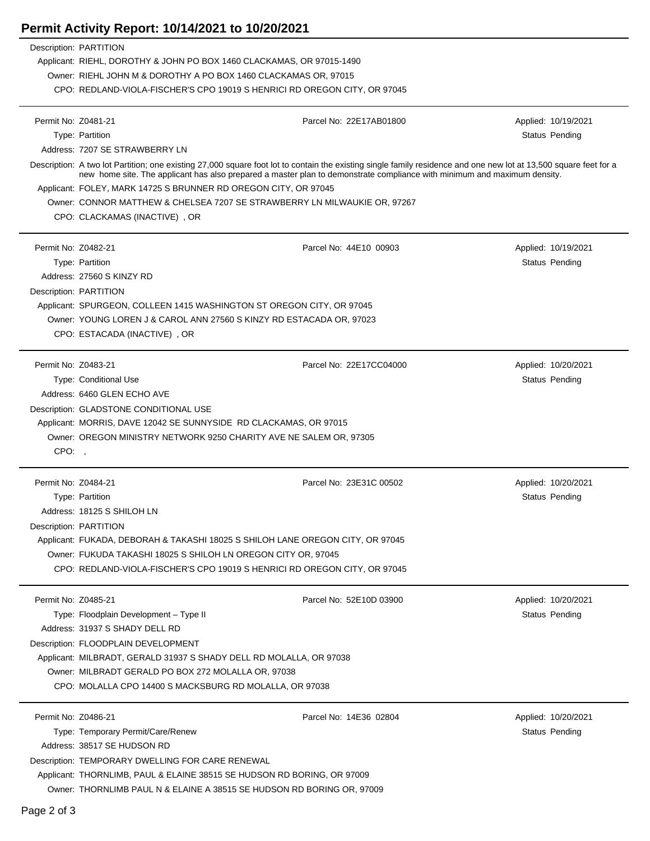## **Permit Activity Report: 10/14/2021 to 10/20/2021**

| Description: PARTITION        |                                                                                                                                                                                                                                                                                               |                         |                     |  |  |  |  |
|-------------------------------|-----------------------------------------------------------------------------------------------------------------------------------------------------------------------------------------------------------------------------------------------------------------------------------------------|-------------------------|---------------------|--|--|--|--|
|                               | Applicant: RIEHL, DOROTHY & JOHN PO BOX 1460 CLACKAMAS, OR 97015-1490                                                                                                                                                                                                                         |                         |                     |  |  |  |  |
|                               | Owner: RIEHL JOHN M & DOROTHY A PO BOX 1460 CLACKAMAS OR, 97015<br>CPO: REDLAND-VIOLA-FISCHER'S CPO 19019 S HENRICI RD OREGON CITY, OR 97045                                                                                                                                                  |                         |                     |  |  |  |  |
|                               |                                                                                                                                                                                                                                                                                               |                         |                     |  |  |  |  |
| Permit No: Z0481-21           |                                                                                                                                                                                                                                                                                               | Parcel No: 22E17AB01800 | Applied: 10/19/2021 |  |  |  |  |
| Type: Partition               |                                                                                                                                                                                                                                                                                               |                         | Status Pending      |  |  |  |  |
|                               | Address: 7207 SE STRAWBERRY LN                                                                                                                                                                                                                                                                |                         |                     |  |  |  |  |
|                               | Description: A two lot Partition; one existing 27,000 square foot lot to contain the existing single family residence and one new lot at 13,500 square feet for a<br>new home site. The applicant has also prepared a master plan to demonstrate compliance with minimum and maximum density. |                         |                     |  |  |  |  |
|                               | Applicant: FOLEY, MARK 14725 S BRUNNER RD OREGON CITY, OR 97045                                                                                                                                                                                                                               |                         |                     |  |  |  |  |
|                               | Owner: CONNOR MATTHEW & CHELSEA 7207 SE STRAWBERRY LN MILWAUKIE OR, 97267                                                                                                                                                                                                                     |                         |                     |  |  |  |  |
|                               | CPO: CLACKAMAS (INACTIVE), OR                                                                                                                                                                                                                                                                 |                         |                     |  |  |  |  |
| Permit No: Z0482-21           |                                                                                                                                                                                                                                                                                               | Parcel No: 44E10 00903  | Applied: 10/19/2021 |  |  |  |  |
| Type: Partition               |                                                                                                                                                                                                                                                                                               |                         | Status Pending      |  |  |  |  |
|                               | Address: 27560 S KINZY RD                                                                                                                                                                                                                                                                     |                         |                     |  |  |  |  |
| Description: PARTITION        |                                                                                                                                                                                                                                                                                               |                         |                     |  |  |  |  |
|                               | Applicant: SPURGEON, COLLEEN 1415 WASHINGTON ST OREGON CITY, OR 97045                                                                                                                                                                                                                         |                         |                     |  |  |  |  |
|                               | Owner: YOUNG LOREN J & CAROL ANN 27560 S KINZY RD ESTACADA OR, 97023                                                                                                                                                                                                                          |                         |                     |  |  |  |  |
|                               | CPO: ESTACADA (INACTIVE), OR                                                                                                                                                                                                                                                                  |                         |                     |  |  |  |  |
| Permit No: Z0483-21           |                                                                                                                                                                                                                                                                                               | Parcel No: 22E17CC04000 | Applied: 10/20/2021 |  |  |  |  |
|                               | Type: Conditional Use                                                                                                                                                                                                                                                                         |                         | Status Pending      |  |  |  |  |
|                               | Address: 6460 GLEN ECHO AVE                                                                                                                                                                                                                                                                   |                         |                     |  |  |  |  |
|                               | Description: GLADSTONE CONDITIONAL USE                                                                                                                                                                                                                                                        |                         |                     |  |  |  |  |
|                               | Applicant: MORRIS, DAVE 12042 SE SUNNYSIDE RD CLACKAMAS, OR 97015                                                                                                                                                                                                                             |                         |                     |  |  |  |  |
|                               | Owner: OREGON MINISTRY NETWORK 9250 CHARITY AVE NE SALEM OR, 97305                                                                                                                                                                                                                            |                         |                     |  |  |  |  |
| CPO:                          |                                                                                                                                                                                                                                                                                               |                         |                     |  |  |  |  |
| Permit No: Z0484-21           |                                                                                                                                                                                                                                                                                               | Parcel No: 23E31C 00502 | Applied: 10/20/2021 |  |  |  |  |
| Type: Partition               |                                                                                                                                                                                                                                                                                               |                         | Status Pending      |  |  |  |  |
|                               | Address: 18125 S SHILOH LN                                                                                                                                                                                                                                                                    |                         |                     |  |  |  |  |
| <b>Description: PARTITION</b> |                                                                                                                                                                                                                                                                                               |                         |                     |  |  |  |  |
|                               | Applicant: FUKADA, DEBORAH & TAKASHI 18025 S SHILOH LANE OREGON CITY, OR 97045                                                                                                                                                                                                                |                         |                     |  |  |  |  |
|                               | Owner: FUKUDA TAKASHI 18025 S SHILOH LN OREGON CITY OR, 97045                                                                                                                                                                                                                                 |                         |                     |  |  |  |  |
|                               | CPO: REDLAND-VIOLA-FISCHER'S CPO 19019 S HENRICI RD OREGON CITY, OR 97045                                                                                                                                                                                                                     |                         |                     |  |  |  |  |
| Permit No: Z0485-21           |                                                                                                                                                                                                                                                                                               | Parcel No: 52E10D 03900 | Applied: 10/20/2021 |  |  |  |  |
|                               | Type: Floodplain Development - Type II                                                                                                                                                                                                                                                        |                         | Status Pending      |  |  |  |  |
|                               | Address: 31937 S SHADY DELL RD                                                                                                                                                                                                                                                                |                         |                     |  |  |  |  |
|                               | Description: FLOODPLAIN DEVELOPMENT                                                                                                                                                                                                                                                           |                         |                     |  |  |  |  |
|                               | Applicant: MILBRADT, GERALD 31937 S SHADY DELL RD MOLALLA, OR 97038                                                                                                                                                                                                                           |                         |                     |  |  |  |  |
|                               | Owner: MILBRADT GERALD PO BOX 272 MOLALLA OR, 97038                                                                                                                                                                                                                                           |                         |                     |  |  |  |  |
|                               | CPO: MOLALLA CPO 14400 S MACKSBURG RD MOLALLA, OR 97038                                                                                                                                                                                                                                       |                         |                     |  |  |  |  |
| Permit No: Z0486-21           |                                                                                                                                                                                                                                                                                               | Parcel No: 14E36 02804  | Applied: 10/20/2021 |  |  |  |  |
|                               | Type: Temporary Permit/Care/Renew                                                                                                                                                                                                                                                             |                         | Status Pending      |  |  |  |  |
|                               | Address: 38517 SE HUDSON RD                                                                                                                                                                                                                                                                   |                         |                     |  |  |  |  |
|                               | Description: TEMPORARY DWELLING FOR CARE RENEWAL                                                                                                                                                                                                                                              |                         |                     |  |  |  |  |
|                               | Applicant: THORNLIMB, PAUL & ELAINE 38515 SE HUDSON RD BORING, OR 97009                                                                                                                                                                                                                       |                         |                     |  |  |  |  |
|                               | Owner: THORNLIMB PAUL N & ELAINE A 38515 SE HUDSON RD BORING OR, 97009                                                                                                                                                                                                                        |                         |                     |  |  |  |  |